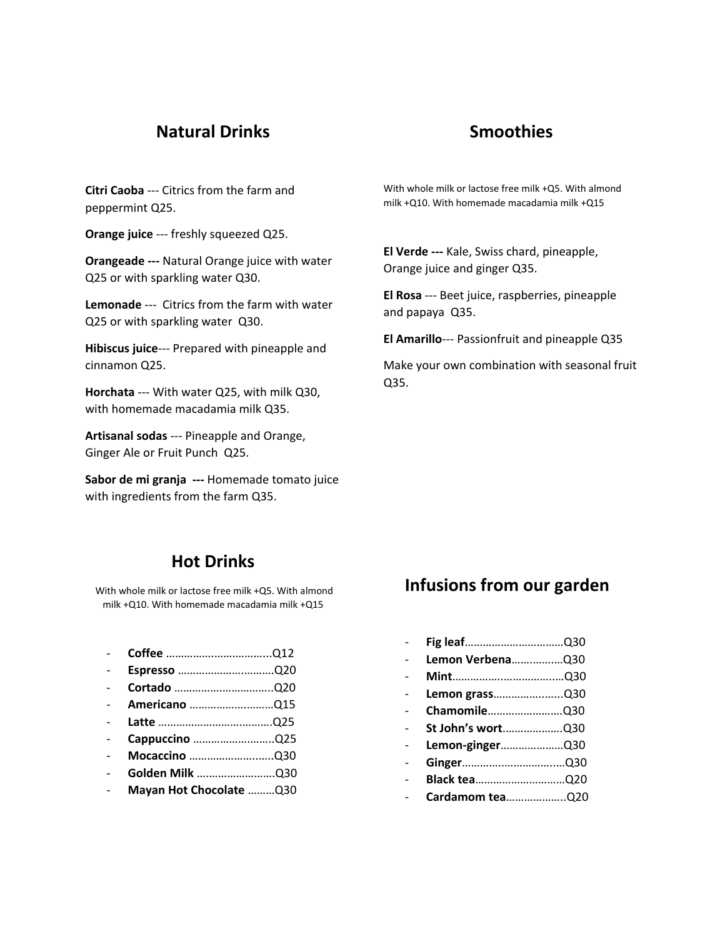# **Natural Drinks**

# **Smoothies**

**Citri Caoba** --- Citrics from the farm and peppermint Q25.

**Orange juice** --- freshly squeezed Q25.

**Orangeade ---** Natural Orange juice with water Q25 or with sparkling water Q30.

**Lemonade** --- Citrics from the farm with water Q25 or with sparkling water Q30.

**Hibiscus juice**--- Prepared with pineapple and cinnamon Q25.

**Horchata** --- With water Q25, with milk Q30, with homemade macadamia milk Q35.

**Artisanal sodas** --- Pineapple and Orange, Ginger Ale or Fruit Punch Q25.

**Sabor de mi granja ---** Homemade tomato juice with ingredients from the farm Q35.

With whole milk or lactose free milk +Q5. With almond milk +Q10. With homemade macadamia milk +Q15

**El Verde ---** Kale, Swiss chard, pineapple, Orange juice and ginger Q35.

**El Rosa** --- Beet juice, raspberries, pineapple and papaya Q35.

**El Amarillo**--- Passionfruit and pineapple Q35

Make your own combination with seasonal fruit Q35.

## **Hot Drinks**

With whole milk or lactose free milk +Q5. With almond milk +Q10. With homemade macadamia milk +Q15

- **Coffee** …………….…….………...Q12
- **Espresso** ………………….……….Q20
- **Cortado** …………….……………..Q20
- **Americano** ……………….………Q15
- **Latte** ……………………….……….Q25
- **Cappuccino** ……………….……..Q25
- **Mocaccino** …………………..…..Q30
- **Golden Milk** ….………………….Q30
- **Mayan Hot Chocolate** ………Q30

# **Infusions from our garden**

- **Fig leaf**……………………………Q30
- **Lemon Verbena**…….…….…Q30
- **Mint**……………..……………..…Q30
- **Lemon grass**……………..…...Q30
- **Chamomile**…………………….Q30
- **St John's wort**.……………….Q30
- **Lemon-ginger**…………………Q30
- **Ginger**…………..……………..…Q30
- **Black tea**…………………………Q20
- **Cardamom tea**………………..Q20